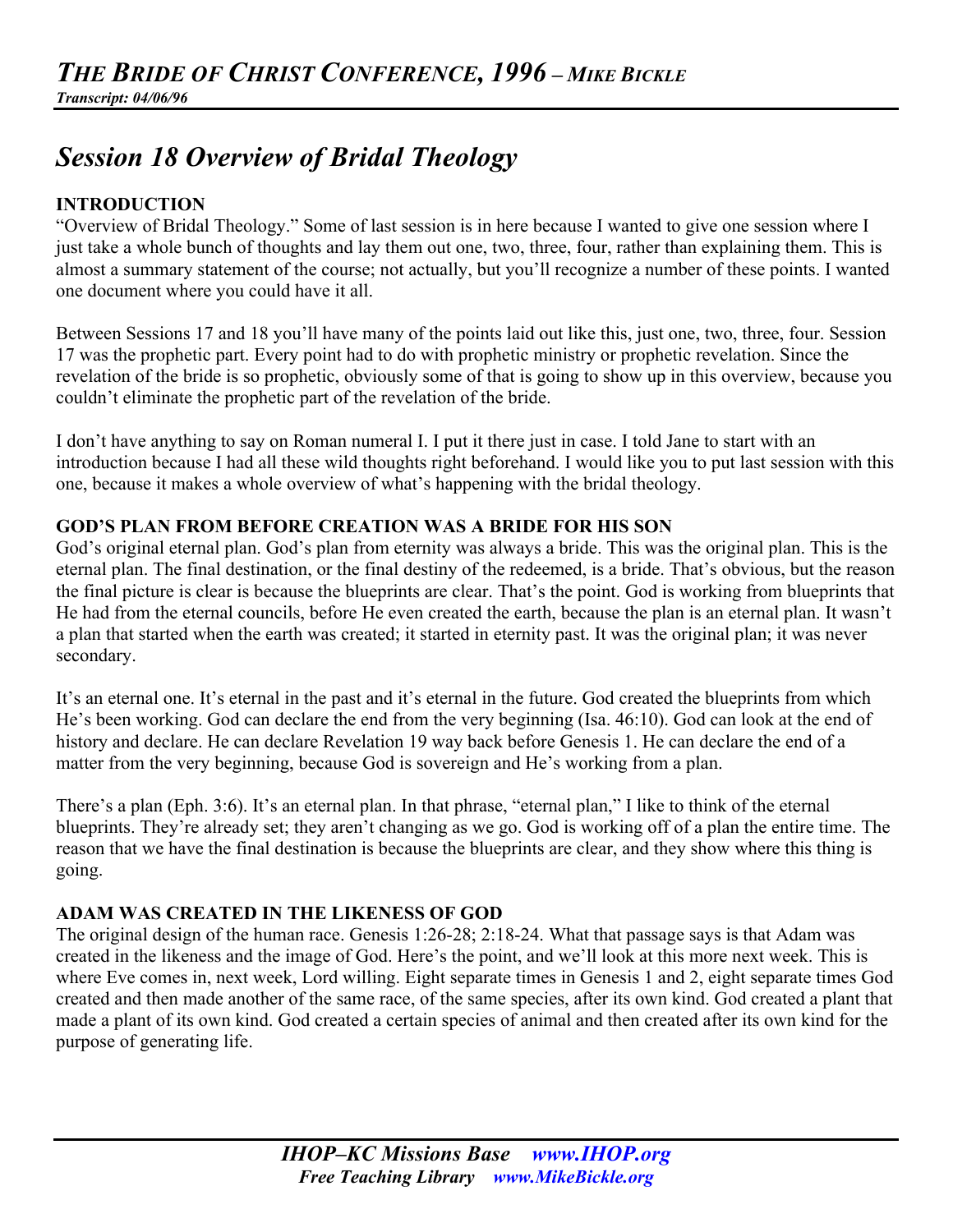# *Session 18 Overview of Bridal Theology*

# **INTRODUCTION**

"Overview of Bridal Theology." Some of last session is in here because I wanted to give one session where I just take a whole bunch of thoughts and lay them out one, two, three, four, rather than explaining them. This is almost a summary statement of the course; not actually, but you'll recognize a number of these points. I wanted one document where you could have it all.

Between Sessions 17 and 18 you'll have many of the points laid out like this, just one, two, three, four. Session 17 was the prophetic part. Every point had to do with prophetic ministry or prophetic revelation. Since the revelation of the bride is so prophetic, obviously some of that is going to show up in this overview, because you couldn't eliminate the prophetic part of the revelation of the bride.

I don't have anything to say on Roman numeral I. I put it there just in case. I told Jane to start with an introduction because I had all these wild thoughts right beforehand. I would like you to put last session with this one, because it makes a whole overview of what's happening with the bridal theology.

# **GOD'S PLAN FROM BEFORE CREATION WAS A BRIDE FOR HIS SON**

God's original eternal plan. God's plan from eternity was always a bride. This was the original plan. This is the eternal plan. The final destination, or the final destiny of the redeemed, is a bride. That's obvious, but the reason the final picture is clear is because the blueprints are clear. That's the point. God is working from blueprints that He had from the eternal councils, before He even created the earth, because the plan is an eternal plan. It wasn't a plan that started when the earth was created; it started in eternity past. It was the original plan; it was never secondary.

It's an eternal one. It's eternal in the past and it's eternal in the future. God created the blueprints from which He's been working. God can declare the end from the very beginning (Isa. 46:10). God can look at the end of history and declare. He can declare Revelation 19 way back before Genesis 1. He can declare the end of a matter from the very beginning, because God is sovereign and He's working from a plan.

There's a plan (Eph. 3:6). It's an eternal plan. In that phrase, "eternal plan," I like to think of the eternal blueprints. They're already set; they aren't changing as we go. God is working off of a plan the entire time. The reason that we have the final destination is because the blueprints are clear, and they show where this thing is going.

# **ADAM WAS CREATED IN THE LIKENESS OF GOD**

The original design of the human race. Genesis 1:26-28; 2:18-24. What that passage says is that Adam was created in the likeness and the image of God. Here's the point, and we'll look at this more next week. This is where Eve comes in, next week, Lord willing. Eight separate times in Genesis 1 and 2, eight separate times God created and then made another of the same race, of the same species, after its own kind. God created a plant that made a plant of its own kind. God created a certain species of animal and then created after its own kind for the purpose of generating life.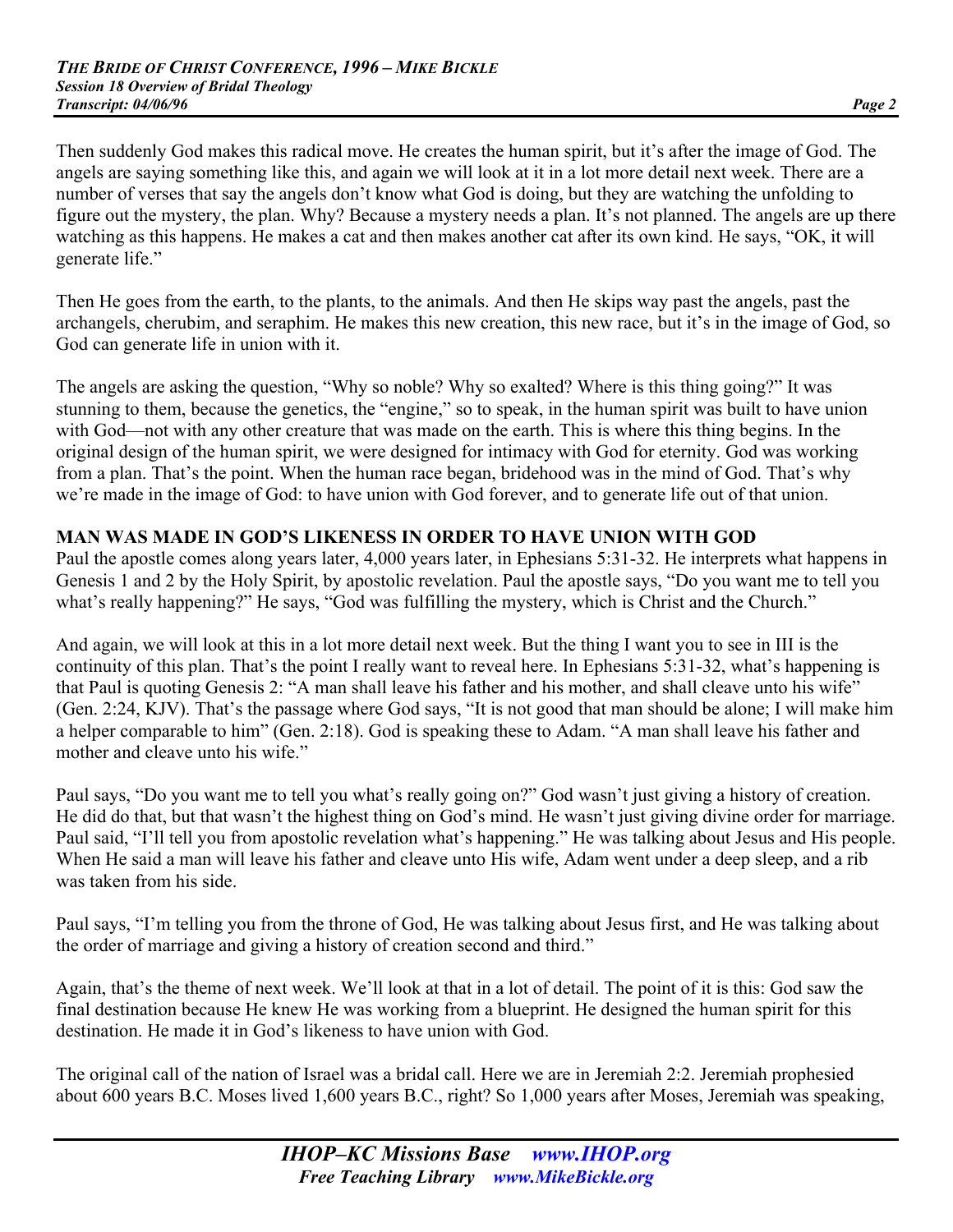Then suddenly God makes this radical move. He creates the human spirit, but it's after the image of God. The angels are saying something like this, and again we will look at it in a lot more detail next week. There are a number of verses that say the angels don't know what God is doing, but they are watching the unfolding to figure out the mystery, the plan. Why? Because a mystery needs a plan. It's not planned. The angels are up there watching as this happens. He makes a cat and then makes another cat after its own kind. He says, "OK, it will generate life."

Then He goes from the earth, to the plants, to the animals. And then He skips way past the angels, past the archangels, cherubim, and seraphim. He makes this new creation, this new race, but it's in the image of God, so God can generate life in union with it.

The angels are asking the question, "Why so noble? Why so exalted? Where is this thing going?" It was stunning to them, because the genetics, the "engine," so to speak, in the human spirit was built to have union with God—not with any other creature that was made on the earth. This is where this thing begins. In the original design of the human spirit, we were designed for intimacy with God for eternity. God was working from a plan. That's the point. When the human race began, bridehood was in the mind of God. That's why we're made in the image of God: to have union with God forever, and to generate life out of that union.

#### **MAN WAS MADE IN GOD'S LIKENESS IN ORDER TO HAVE UNION WITH GOD**

Paul the apostle comes along years later, 4,000 years later, in Ephesians 5:31-32. He interprets what happens in Genesis 1 and 2 by the Holy Spirit, by apostolic revelation. Paul the apostle says, "Do you want me to tell you what's really happening?" He says, "God was fulfilling the mystery, which is Christ and the Church."

And again, we will look at this in a lot more detail next week. But the thing I want you to see in III is the continuity of this plan. That's the point I really want to reveal here. In Ephesians 5:31-32, what's happening is that Paul is quoting Genesis 2: "A man shall leave his father and his mother, and shall cleave unto his wife" (Gen. 2:24, KJV). That's the passage where God says, "It is not good that man should be alone; I will make him a helper comparable to him" (Gen. 2:18). God is speaking these to Adam. "A man shall leave his father and mother and cleave unto his wife."

Paul says, "Do you want me to tell you what's really going on?" God wasn't just giving a history of creation. He did do that, but that wasn't the highest thing on God's mind. He wasn't just giving divine order for marriage. Paul said, "I'll tell you from apostolic revelation what's happening." He was talking about Jesus and His people. When He said a man will leave his father and cleave unto His wife, Adam went under a deep sleep, and a rib was taken from his side.

Paul says, "I'm telling you from the throne of God, He was talking about Jesus first, and He was talking about the order of marriage and giving a history of creation second and third."

Again, that's the theme of next week. We'll look at that in a lot of detail. The point of it is this: God saw the final destination because He knew He was working from a blueprint. He designed the human spirit for this destination. He made it in God's likeness to have union with God.

The original call of the nation of Israel was a bridal call. Here we are in Jeremiah 2:2. Jeremiah prophesied about 600 years B.C. Moses lived 1,600 years B.C., right? So 1,000 years after Moses, Jeremiah was speaking,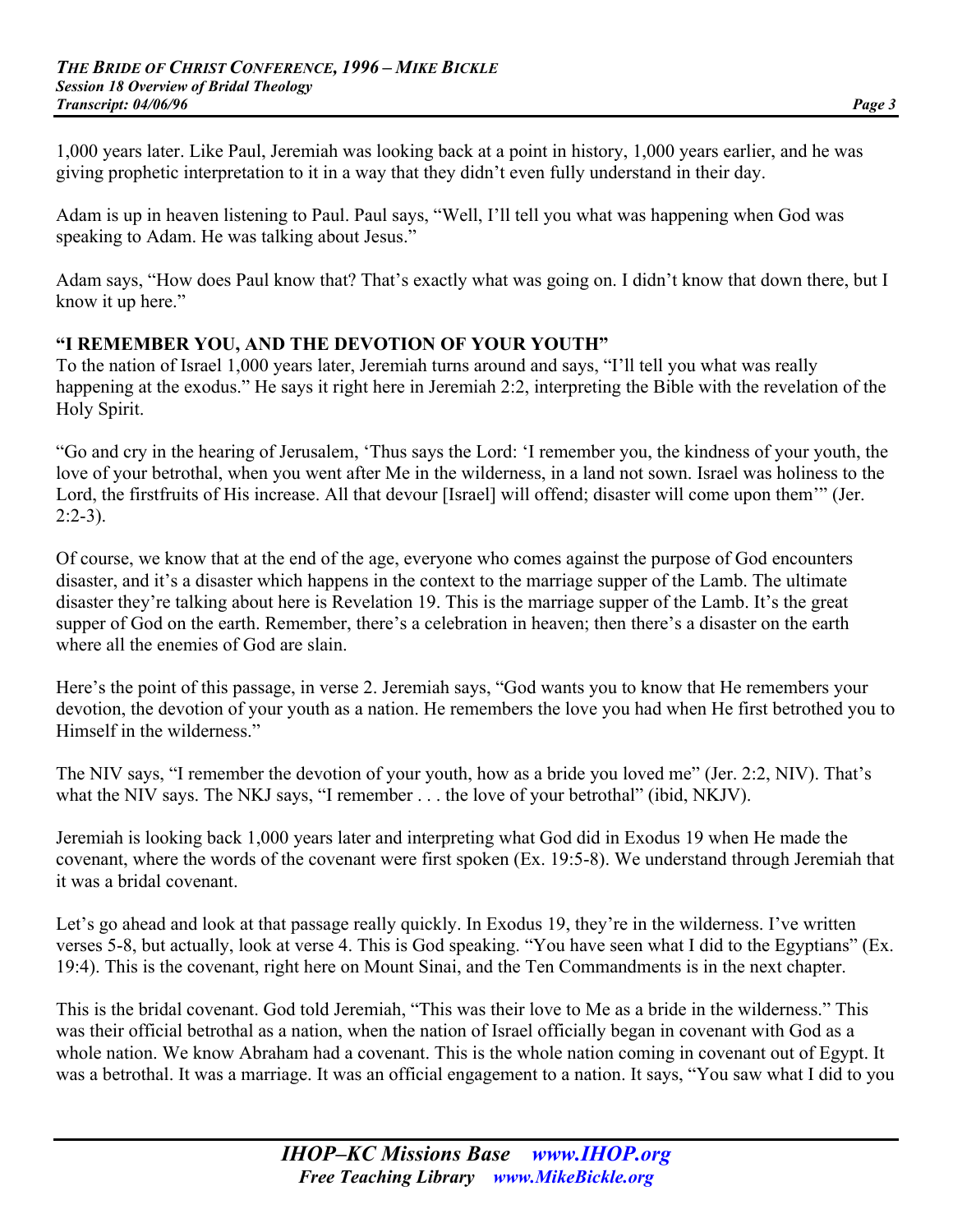1,000 years later. Like Paul, Jeremiah was looking back at a point in history, 1,000 years earlier, and he was giving prophetic interpretation to it in a way that they didn't even fully understand in their day.

Adam is up in heaven listening to Paul. Paul says, "Well, I'll tell you what was happening when God was speaking to Adam. He was talking about Jesus."

Adam says, "How does Paul know that? That's exactly what was going on. I didn't know that down there, but I know it up here."

#### **"I REMEMBER YOU, AND THE DEVOTION OF YOUR YOUTH"**

To the nation of Israel 1,000 years later, Jeremiah turns around and says, "I'll tell you what was really happening at the exodus." He says it right here in Jeremiah 2:2, interpreting the Bible with the revelation of the Holy Spirit.

"Go and cry in the hearing of Jerusalem, 'Thus says the Lord: 'I remember you, the kindness of your youth, the love of your betrothal, when you went after Me in the wilderness, in a land not sown. Israel was holiness to the Lord, the firstfruits of His increase. All that devour [Israel] will offend; disaster will come upon them'" (Jer.  $2:2-3$ ).

Of course, we know that at the end of the age, everyone who comes against the purpose of God encounters disaster, and it's a disaster which happens in the context to the marriage supper of the Lamb. The ultimate disaster they're talking about here is Revelation 19. This is the marriage supper of the Lamb. It's the great supper of God on the earth. Remember, there's a celebration in heaven; then there's a disaster on the earth where all the enemies of God are slain.

Here's the point of this passage, in verse 2. Jeremiah says, "God wants you to know that He remembers your devotion, the devotion of your youth as a nation. He remembers the love you had when He first betrothed you to Himself in the wilderness."

The NIV says, "I remember the devotion of your youth, how as a bride you loved me" (Jer. 2:2, NIV). That's what the NIV says. The NKJ says, "I remember . . . the love of your betrothal" (ibid, NKJV).

Jeremiah is looking back 1,000 years later and interpreting what God did in Exodus 19 when He made the covenant, where the words of the covenant were first spoken (Ex. 19:5-8). We understand through Jeremiah that it was a bridal covenant.

Let's go ahead and look at that passage really quickly. In Exodus 19, they're in the wilderness. I've written verses 5-8, but actually, look at verse 4. This is God speaking. "You have seen what I did to the Egyptians" (Ex. 19:4). This is the covenant, right here on Mount Sinai, and the Ten Commandments is in the next chapter.

This is the bridal covenant. God told Jeremiah, "This was their love to Me as a bride in the wilderness." This was their official betrothal as a nation, when the nation of Israel officially began in covenant with God as a whole nation. We know Abraham had a covenant. This is the whole nation coming in covenant out of Egypt. It was a betrothal. It was a marriage. It was an official engagement to a nation. It says, "You saw what I did to you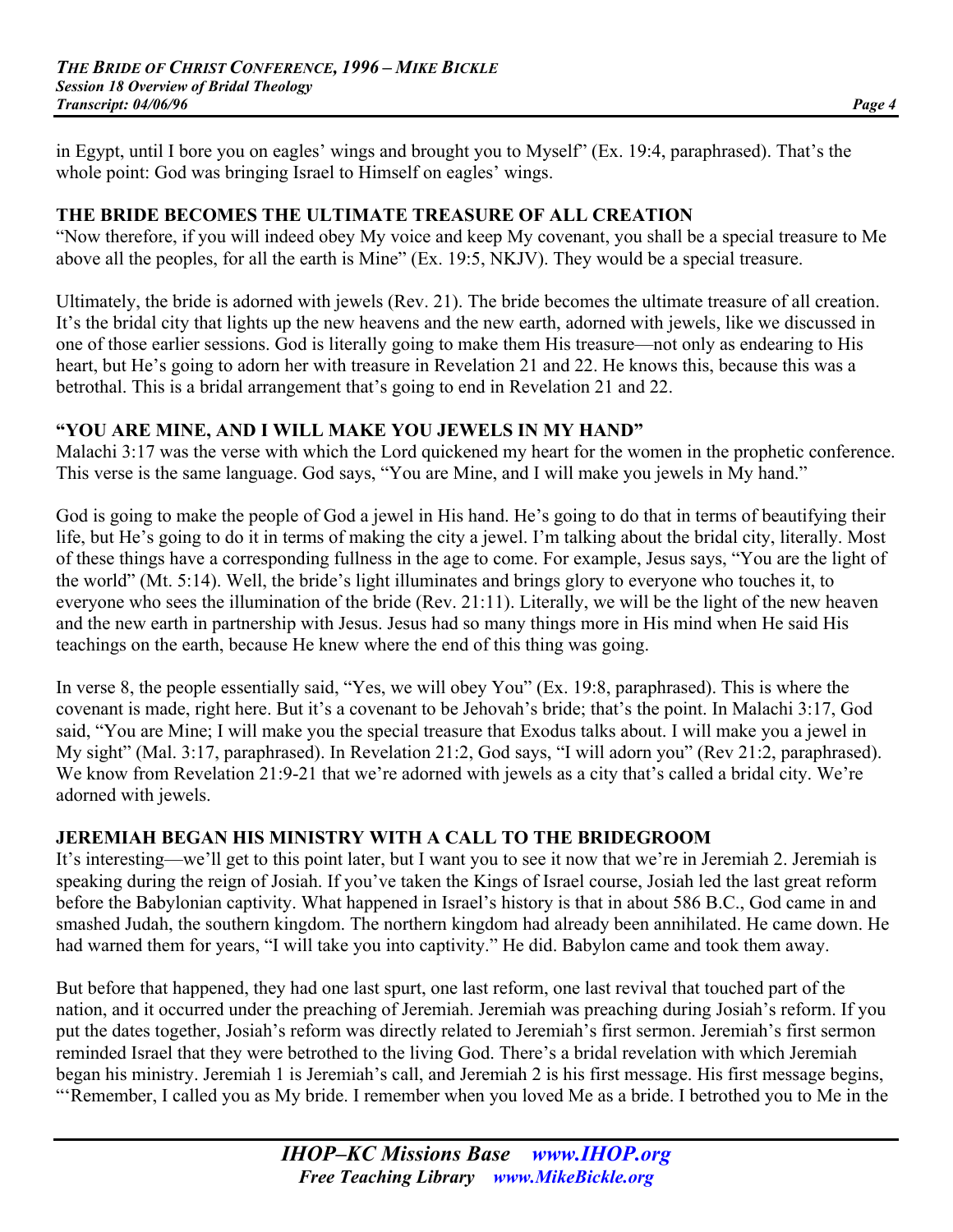in Egypt, until I bore you on eagles' wings and brought you to Myself" (Ex. 19:4, paraphrased). That's the whole point: God was bringing Israel to Himself on eagles' wings.

#### **THE BRIDE BECOMES THE ULTIMATE TREASURE OF ALL CREATION**

"Now therefore, if you will indeed obey My voice and keep My covenant, you shall be a special treasure to Me above all the peoples, for all the earth is Mine" (Ex. 19:5, NKJV). They would be a special treasure.

Ultimately, the bride is adorned with jewels (Rev. 21). The bride becomes the ultimate treasure of all creation. It's the bridal city that lights up the new heavens and the new earth, adorned with jewels, like we discussed in one of those earlier sessions. God is literally going to make them His treasure—not only as endearing to His heart, but He's going to adorn her with treasure in Revelation 21 and 22. He knows this, because this was a betrothal. This is a bridal arrangement that's going to end in Revelation 21 and 22.

#### **"YOU ARE MINE, AND I WILL MAKE YOU JEWELS IN MY HAND"**

Malachi 3:17 was the verse with which the Lord quickened my heart for the women in the prophetic conference. This verse is the same language. God says, "You are Mine, and I will make you jewels in My hand."

God is going to make the people of God a jewel in His hand. He's going to do that in terms of beautifying their life, but He's going to do it in terms of making the city a jewel. I'm talking about the bridal city, literally. Most of these things have a corresponding fullness in the age to come. For example, Jesus says, "You are the light of the world" (Mt. 5:14). Well, the bride's light illuminates and brings glory to everyone who touches it, to everyone who sees the illumination of the bride (Rev. 21:11). Literally, we will be the light of the new heaven and the new earth in partnership with Jesus. Jesus had so many things more in His mind when He said His teachings on the earth, because He knew where the end of this thing was going.

In verse 8, the people essentially said, "Yes, we will obey You" (Ex. 19:8, paraphrased). This is where the covenant is made, right here. But it's a covenant to be Jehovah's bride; that's the point. In Malachi 3:17, God said, "You are Mine; I will make you the special treasure that Exodus talks about. I will make you a jewel in My sight" (Mal. 3:17, paraphrased). In Revelation 21:2, God says, "I will adorn you" (Rev 21:2, paraphrased). We know from Revelation 21:9-21 that we're adorned with jewels as a city that's called a bridal city. We're adorned with jewels.

# **JEREMIAH BEGAN HIS MINISTRY WITH A CALL TO THE BRIDEGROOM**

It's interesting—we'll get to this point later, but I want you to see it now that we're in Jeremiah 2. Jeremiah is speaking during the reign of Josiah. If you've taken the Kings of Israel course, Josiah led the last great reform before the Babylonian captivity. What happened in Israel's history is that in about 586 B.C., God came in and smashed Judah, the southern kingdom. The northern kingdom had already been annihilated. He came down. He had warned them for years, "I will take you into captivity." He did. Babylon came and took them away.

But before that happened, they had one last spurt, one last reform, one last revival that touched part of the nation, and it occurred under the preaching of Jeremiah. Jeremiah was preaching during Josiah's reform. If you put the dates together, Josiah's reform was directly related to Jeremiah's first sermon. Jeremiah's first sermon reminded Israel that they were betrothed to the living God. There's a bridal revelation with which Jeremiah began his ministry. Jeremiah 1 is Jeremiah's call, and Jeremiah 2 is his first message. His first message begins, "'Remember, I called you as My bride. I remember when you loved Me as a bride. I betrothed you to Me in the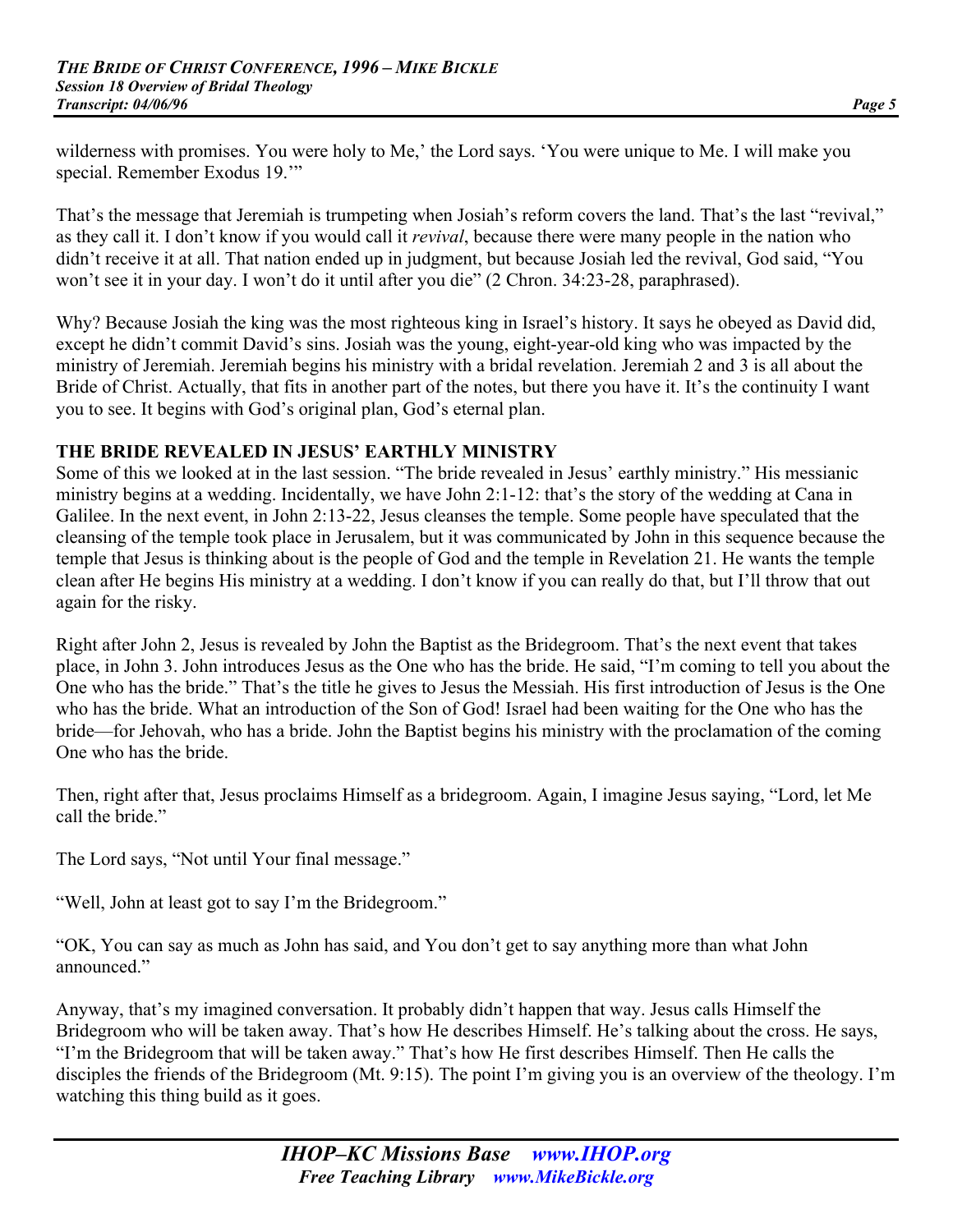wilderness with promises. You were holy to Me,' the Lord says. 'You were unique to Me. I will make you special. Remember Exodus 19.'"

That's the message that Jeremiah is trumpeting when Josiah's reform covers the land. That's the last "revival," as they call it. I don't know if you would call it *revival*, because there were many people in the nation who didn't receive it at all. That nation ended up in judgment, but because Josiah led the revival, God said, "You won't see it in your day. I won't do it until after you die" (2 Chron. 34:23-28, paraphrased).

Why? Because Josiah the king was the most righteous king in Israel's history. It says he obeyed as David did, except he didn't commit David's sins. Josiah was the young, eight-year-old king who was impacted by the ministry of Jeremiah. Jeremiah begins his ministry with a bridal revelation. Jeremiah 2 and 3 is all about the Bride of Christ. Actually, that fits in another part of the notes, but there you have it. It's the continuity I want you to see. It begins with God's original plan, God's eternal plan.

# **THE BRIDE REVEALED IN JESUS' EARTHLY MINISTRY**

Some of this we looked at in the last session. "The bride revealed in Jesus' earthly ministry." His messianic ministry begins at a wedding. Incidentally, we have John 2:1-12: that's the story of the wedding at Cana in Galilee. In the next event, in John 2:13-22, Jesus cleanses the temple. Some people have speculated that the cleansing of the temple took place in Jerusalem, but it was communicated by John in this sequence because the temple that Jesus is thinking about is the people of God and the temple in Revelation 21. He wants the temple clean after He begins His ministry at a wedding. I don't know if you can really do that, but I'll throw that out again for the risky.

Right after John 2, Jesus is revealed by John the Baptist as the Bridegroom. That's the next event that takes place, in John 3. John introduces Jesus as the One who has the bride. He said, "I'm coming to tell you about the One who has the bride." That's the title he gives to Jesus the Messiah. His first introduction of Jesus is the One who has the bride. What an introduction of the Son of God! Israel had been waiting for the One who has the bride—for Jehovah, who has a bride. John the Baptist begins his ministry with the proclamation of the coming One who has the bride.

Then, right after that, Jesus proclaims Himself as a bridegroom. Again, I imagine Jesus saying, "Lord, let Me call the bride"

The Lord says, "Not until Your final message."

"Well, John at least got to say I'm the Bridegroom."

"OK, You can say as much as John has said, and You don't get to say anything more than what John announced."

Anyway, that's my imagined conversation. It probably didn't happen that way. Jesus calls Himself the Bridegroom who will be taken away. That's how He describes Himself. He's talking about the cross. He says, "I'm the Bridegroom that will be taken away." That's how He first describes Himself. Then He calls the disciples the friends of the Bridegroom (Mt. 9:15). The point I'm giving you is an overview of the theology. I'm watching this thing build as it goes.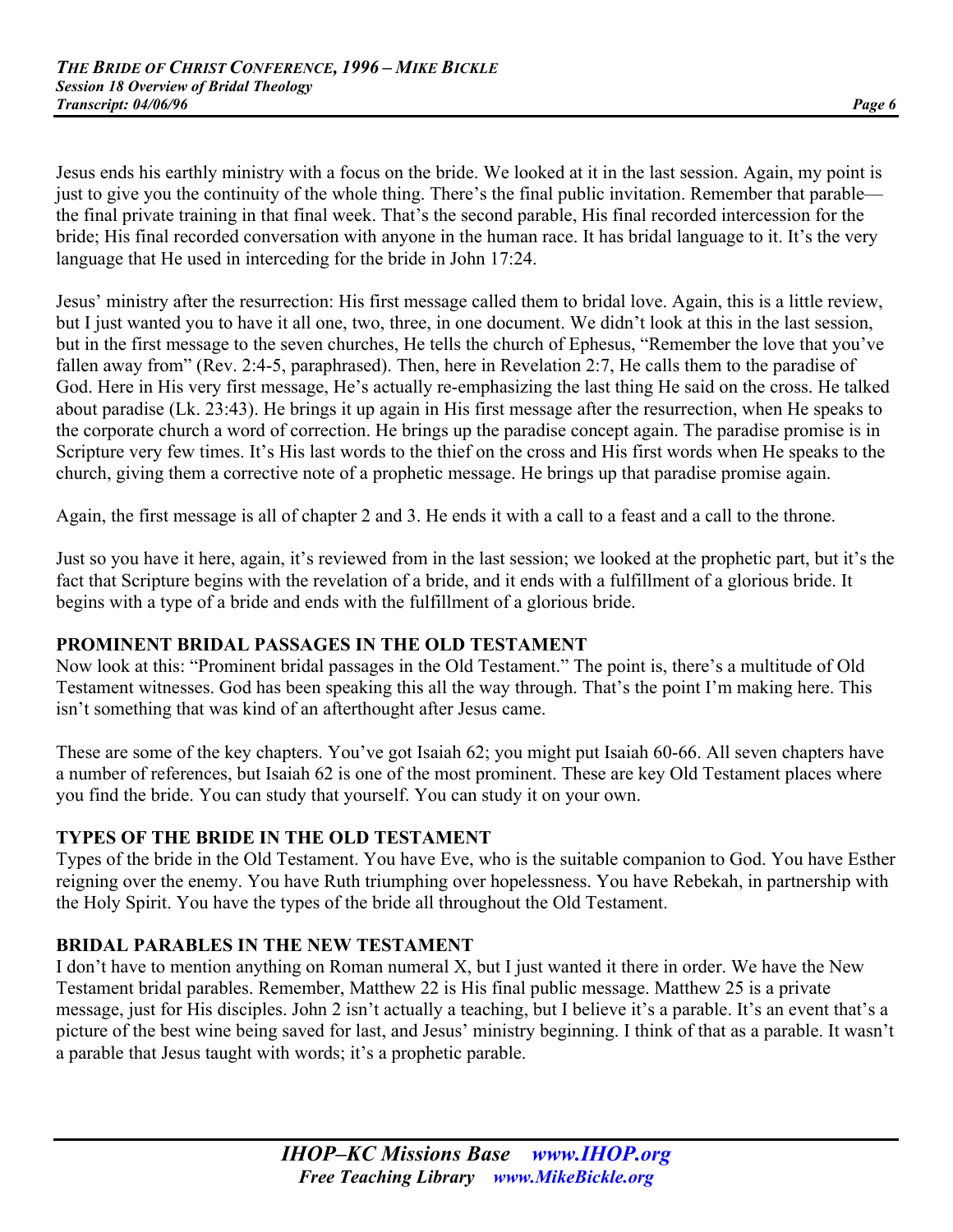Jesus ends his earthly ministry with a focus on the bride. We looked at it in the last session. Again, my point is just to give you the continuity of the whole thing. There's the final public invitation. Remember that parable the final private training in that final week. That's the second parable, His final recorded intercession for the bride; His final recorded conversation with anyone in the human race. It has bridal language to it. It's the very language that He used in interceding for the bride in John 17:24.

Jesus' ministry after the resurrection: His first message called them to bridal love. Again, this is a little review, but I just wanted you to have it all one, two, three, in one document. We didn't look at this in the last session, but in the first message to the seven churches, He tells the church of Ephesus, "Remember the love that you've fallen away from" (Rev. 2:4-5, paraphrased). Then, here in Revelation 2:7, He calls them to the paradise of God. Here in His very first message, He's actually re-emphasizing the last thing He said on the cross. He talked about paradise (Lk. 23:43). He brings it up again in His first message after the resurrection, when He speaks to the corporate church a word of correction. He brings up the paradise concept again. The paradise promise is in Scripture very few times. It's His last words to the thief on the cross and His first words when He speaks to the church, giving them a corrective note of a prophetic message. He brings up that paradise promise again.

Again, the first message is all of chapter 2 and 3. He ends it with a call to a feast and a call to the throne.

Just so you have it here, again, it's reviewed from in the last session; we looked at the prophetic part, but it's the fact that Scripture begins with the revelation of a bride, and it ends with a fulfillment of a glorious bride. It begins with a type of a bride and ends with the fulfillment of a glorious bride.

# **PROMINENT BRIDAL PASSAGES IN THE OLD TESTAMENT**

Now look at this: "Prominent bridal passages in the Old Testament." The point is, there's a multitude of Old Testament witnesses. God has been speaking this all the way through. That's the point I'm making here. This isn't something that was kind of an afterthought after Jesus came.

These are some of the key chapters. You've got Isaiah 62; you might put Isaiah 60-66. All seven chapters have a number of references, but Isaiah 62 is one of the most prominent. These are key Old Testament places where you find the bride. You can study that yourself. You can study it on your own.

# **TYPES OF THE BRIDE IN THE OLD TESTAMENT**

Types of the bride in the Old Testament. You have Eve, who is the suitable companion to God. You have Esther reigning over the enemy. You have Ruth triumphing over hopelessness. You have Rebekah, in partnership with the Holy Spirit. You have the types of the bride all throughout the Old Testament.

# **BRIDAL PARABLES IN THE NEW TESTAMENT**

I don't have to mention anything on Roman numeral X, but I just wanted it there in order. We have the New Testament bridal parables. Remember, Matthew 22 is His final public message. Matthew 25 is a private message, just for His disciples. John 2 isn't actually a teaching, but I believe it's a parable. It's an event that's a picture of the best wine being saved for last, and Jesus' ministry beginning. I think of that as a parable. It wasn't a parable that Jesus taught with words; it's a prophetic parable.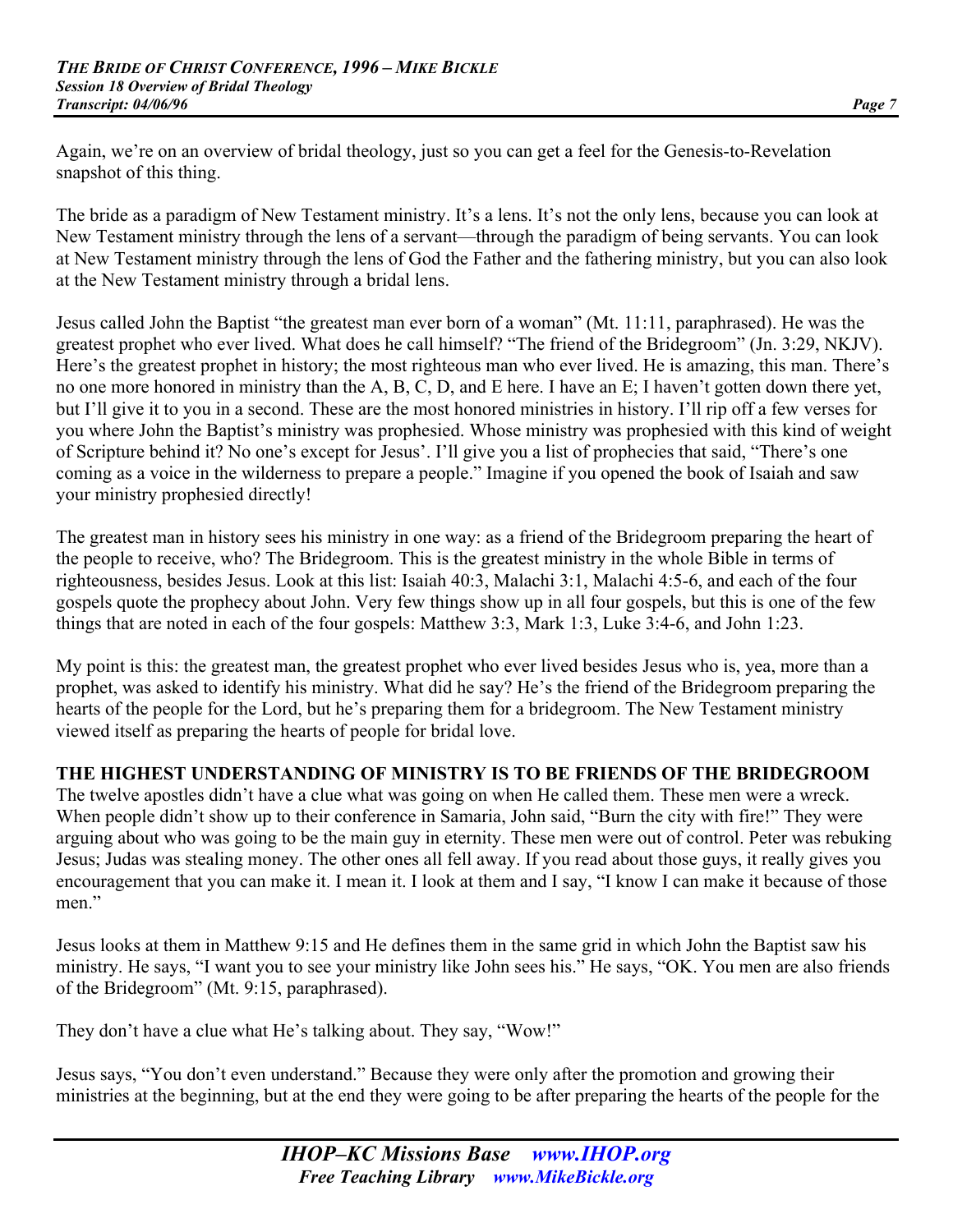Again, we're on an overview of bridal theology, just so you can get a feel for the Genesis-to-Revelation snapshot of this thing.

The bride as a paradigm of New Testament ministry. It's a lens. It's not the only lens, because you can look at New Testament ministry through the lens of a servant—through the paradigm of being servants. You can look at New Testament ministry through the lens of God the Father and the fathering ministry, but you can also look at the New Testament ministry through a bridal lens.

Jesus called John the Baptist "the greatest man ever born of a woman" (Mt. 11:11, paraphrased). He was the greatest prophet who ever lived. What does he call himself? "The friend of the Bridegroom" (Jn. 3:29, NKJV). Here's the greatest prophet in history; the most righteous man who ever lived. He is amazing, this man. There's no one more honored in ministry than the A, B, C, D, and E here. I have an E; I haven't gotten down there yet, but I'll give it to you in a second. These are the most honored ministries in history. I'll rip off a few verses for you where John the Baptist's ministry was prophesied. Whose ministry was prophesied with this kind of weight of Scripture behind it? No one's except for Jesus'. I'll give you a list of prophecies that said, "There's one coming as a voice in the wilderness to prepare a people." Imagine if you opened the book of Isaiah and saw your ministry prophesied directly!

The greatest man in history sees his ministry in one way: as a friend of the Bridegroom preparing the heart of the people to receive, who? The Bridegroom. This is the greatest ministry in the whole Bible in terms of righteousness, besides Jesus. Look at this list: Isaiah 40:3, Malachi 3:1, Malachi 4:5-6, and each of the four gospels quote the prophecy about John. Very few things show up in all four gospels, but this is one of the few things that are noted in each of the four gospels: Matthew 3:3, Mark 1:3, Luke 3:4-6, and John 1:23.

My point is this: the greatest man, the greatest prophet who ever lived besides Jesus who is, yea, more than a prophet, was asked to identify his ministry. What did he say? He's the friend of the Bridegroom preparing the hearts of the people for the Lord, but he's preparing them for a bridegroom. The New Testament ministry viewed itself as preparing the hearts of people for bridal love.

# **THE HIGHEST UNDERSTANDING OF MINISTRY IS TO BE FRIENDS OF THE BRIDEGROOM**

The twelve apostles didn't have a clue what was going on when He called them. These men were a wreck. When people didn't show up to their conference in Samaria, John said, "Burn the city with fire!" They were arguing about who was going to be the main guy in eternity. These men were out of control. Peter was rebuking Jesus; Judas was stealing money. The other ones all fell away. If you read about those guys, it really gives you encouragement that you can make it. I mean it. I look at them and I say, "I know I can make it because of those men."

Jesus looks at them in Matthew 9:15 and He defines them in the same grid in which John the Baptist saw his ministry. He says, "I want you to see your ministry like John sees his." He says, "OK. You men are also friends of the Bridegroom" (Mt. 9:15, paraphrased).

They don't have a clue what He's talking about. They say, "Wow!"

Jesus says, "You don't even understand." Because they were only after the promotion and growing their ministries at the beginning, but at the end they were going to be after preparing the hearts of the people for the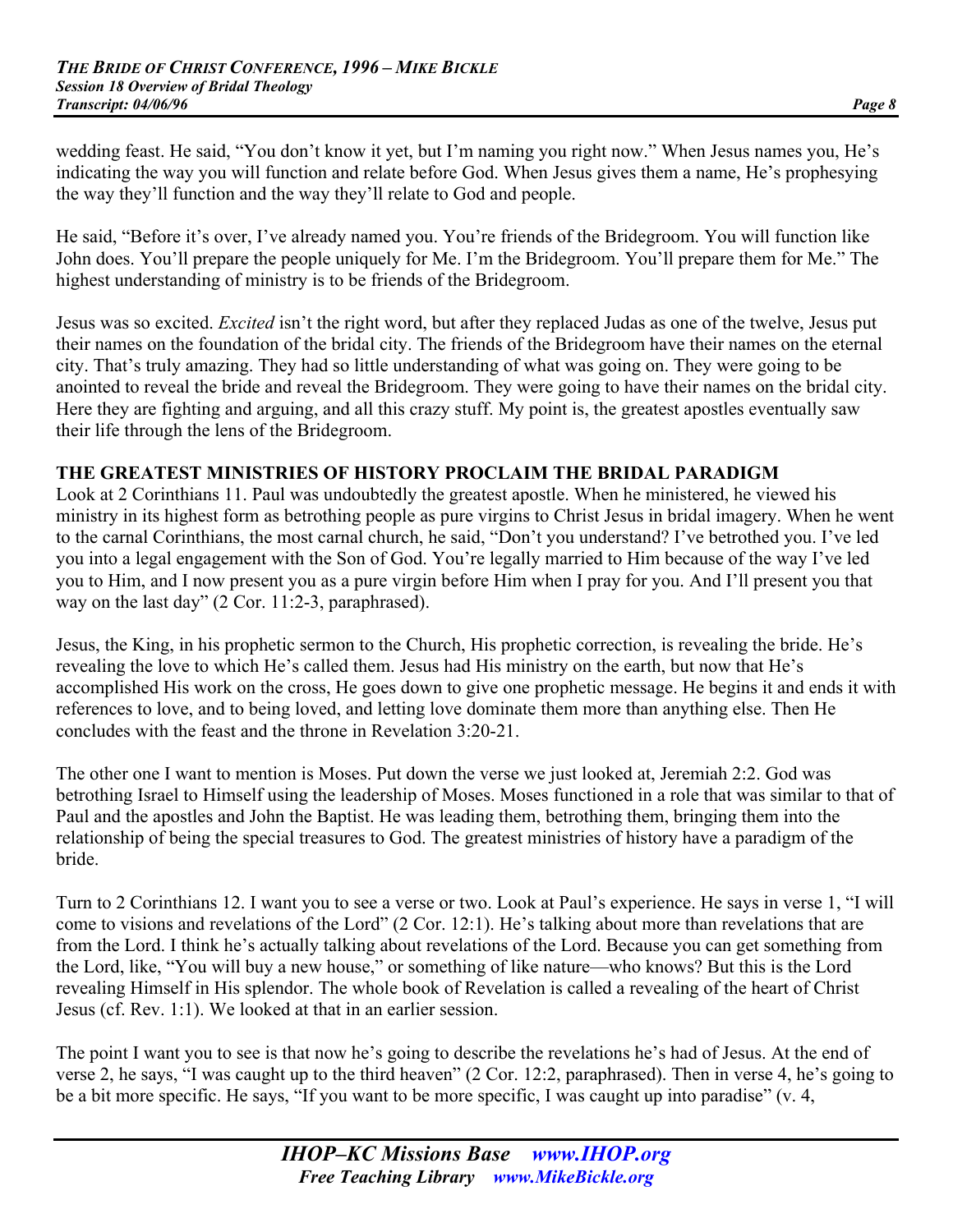wedding feast. He said, "You don't know it yet, but I'm naming you right now." When Jesus names you, He's indicating the way you will function and relate before God. When Jesus gives them a name, He's prophesying the way they'll function and the way they'll relate to God and people.

He said, "Before it's over, I've already named you. You're friends of the Bridegroom. You will function like John does. You'll prepare the people uniquely for Me. I'm the Bridegroom. You'll prepare them for Me." The highest understanding of ministry is to be friends of the Bridegroom.

Jesus was so excited. *Excited* isn't the right word, but after they replaced Judas as one of the twelve, Jesus put their names on the foundation of the bridal city. The friends of the Bridegroom have their names on the eternal city. That's truly amazing. They had so little understanding of what was going on. They were going to be anointed to reveal the bride and reveal the Bridegroom. They were going to have their names on the bridal city. Here they are fighting and arguing, and all this crazy stuff. My point is, the greatest apostles eventually saw their life through the lens of the Bridegroom.

#### **THE GREATEST MINISTRIES OF HISTORY PROCLAIM THE BRIDAL PARADIGM**

Look at 2 Corinthians 11. Paul was undoubtedly the greatest apostle. When he ministered, he viewed his ministry in its highest form as betrothing people as pure virgins to Christ Jesus in bridal imagery. When he went to the carnal Corinthians, the most carnal church, he said, "Don't you understand? I've betrothed you. I've led you into a legal engagement with the Son of God. You're legally married to Him because of the way I've led you to Him, and I now present you as a pure virgin before Him when I pray for you. And I'll present you that way on the last day" (2 Cor. 11:2-3, paraphrased).

Jesus, the King, in his prophetic sermon to the Church, His prophetic correction, is revealing the bride. He's revealing the love to which He's called them. Jesus had His ministry on the earth, but now that He's accomplished His work on the cross, He goes down to give one prophetic message. He begins it and ends it with references to love, and to being loved, and letting love dominate them more than anything else. Then He concludes with the feast and the throne in Revelation 3:20-21.

The other one I want to mention is Moses. Put down the verse we just looked at, Jeremiah 2:2. God was betrothing Israel to Himself using the leadership of Moses. Moses functioned in a role that was similar to that of Paul and the apostles and John the Baptist. He was leading them, betrothing them, bringing them into the relationship of being the special treasures to God. The greatest ministries of history have a paradigm of the bride.

Turn to 2 Corinthians 12. I want you to see a verse or two. Look at Paul's experience. He says in verse 1, "I will come to visions and revelations of the Lord" (2 Cor. 12:1). He's talking about more than revelations that are from the Lord. I think he's actually talking about revelations of the Lord. Because you can get something from the Lord, like, "You will buy a new house," or something of like nature—who knows? But this is the Lord revealing Himself in His splendor. The whole book of Revelation is called a revealing of the heart of Christ Jesus (cf. Rev. 1:1). We looked at that in an earlier session.

The point I want you to see is that now he's going to describe the revelations he's had of Jesus. At the end of verse 2, he says, "I was caught up to the third heaven" (2 Cor. 12:2, paraphrased). Then in verse 4, he's going to be a bit more specific. He says, "If you want to be more specific, I was caught up into paradise" (v. 4,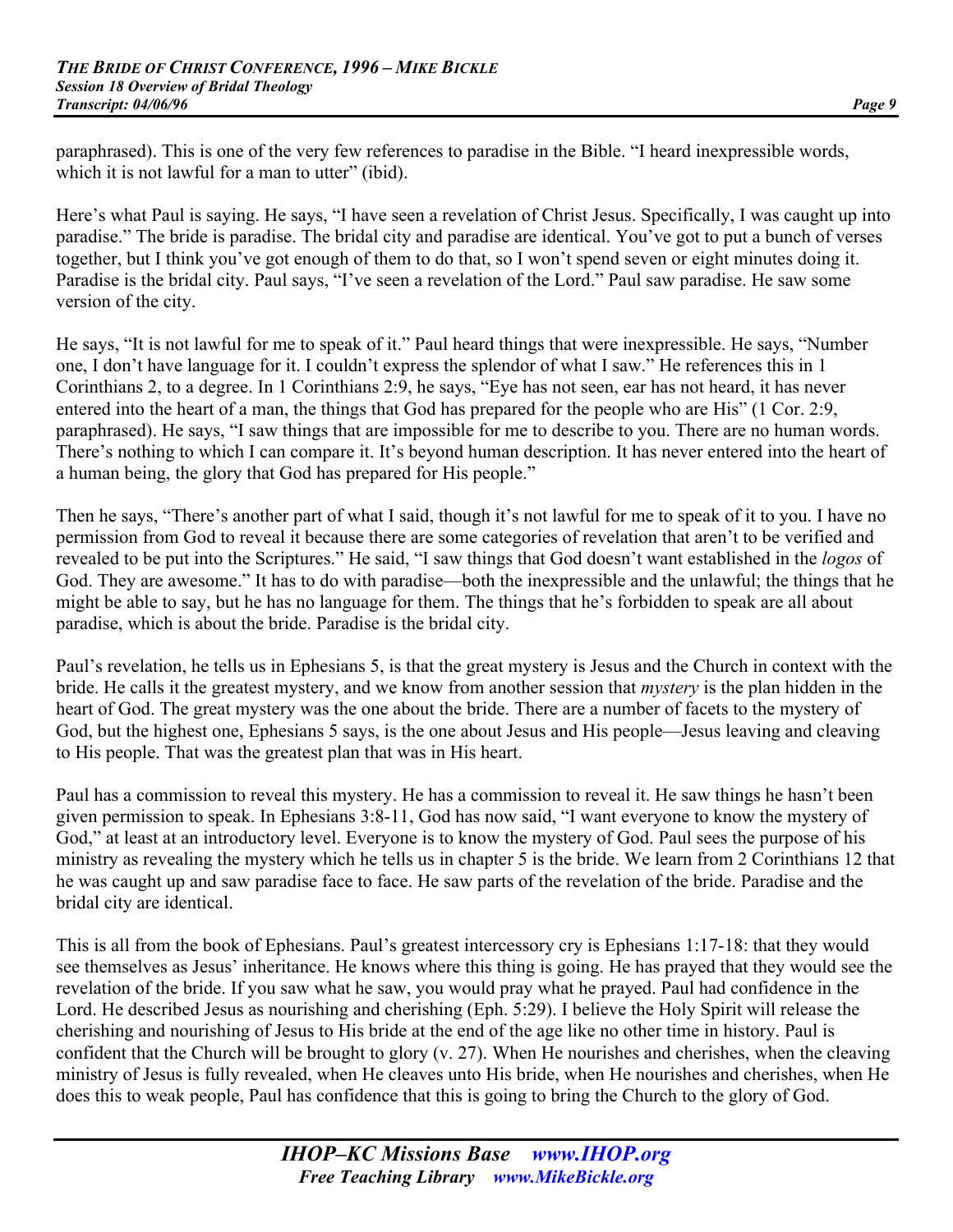paraphrased). This is one of the very few references to paradise in the Bible. "I heard inexpressible words, which it is not lawful for a man to utter" (ibid).

Here's what Paul is saying. He says, "I have seen a revelation of Christ Jesus. Specifically, I was caught up into paradise." The bride is paradise. The bridal city and paradise are identical. You've got to put a bunch of verses together, but I think you've got enough of them to do that, so I won't spend seven or eight minutes doing it. Paradise is the bridal city. Paul says, "I've seen a revelation of the Lord." Paul saw paradise. He saw some version of the city.

He says, "It is not lawful for me to speak of it." Paul heard things that were inexpressible. He says, "Number one, I don't have language for it. I couldn't express the splendor of what I saw." He references this in 1 Corinthians 2, to a degree. In 1 Corinthians 2:9, he says, "Eye has not seen, ear has not heard, it has never entered into the heart of a man, the things that God has prepared for the people who are His" (1 Cor. 2:9, paraphrased). He says, "I saw things that are impossible for me to describe to you. There are no human words. There's nothing to which I can compare it. It's beyond human description. It has never entered into the heart of a human being, the glory that God has prepared for His people."

Then he says, "There's another part of what I said, though it's not lawful for me to speak of it to you. I have no permission from God to reveal it because there are some categories of revelation that aren't to be verified and revealed to be put into the Scriptures." He said, "I saw things that God doesn't want established in the *logos* of God. They are awesome." It has to do with paradise—both the inexpressible and the unlawful; the things that he might be able to say, but he has no language for them. The things that he's forbidden to speak are all about paradise, which is about the bride. Paradise is the bridal city.

Paul's revelation, he tells us in Ephesians 5, is that the great mystery is Jesus and the Church in context with the bride. He calls it the greatest mystery, and we know from another session that *mystery* is the plan hidden in the heart of God. The great mystery was the one about the bride. There are a number of facets to the mystery of God, but the highest one, Ephesians 5 says, is the one about Jesus and His people—Jesus leaving and cleaving to His people. That was the greatest plan that was in His heart.

Paul has a commission to reveal this mystery. He has a commission to reveal it. He saw things he hasn't been given permission to speak. In Ephesians 3:8-11, God has now said, "I want everyone to know the mystery of God," at least at an introductory level. Everyone is to know the mystery of God. Paul sees the purpose of his ministry as revealing the mystery which he tells us in chapter 5 is the bride. We learn from 2 Corinthians 12 that he was caught up and saw paradise face to face. He saw parts of the revelation of the bride. Paradise and the bridal city are identical.

This is all from the book of Ephesians. Paul's greatest intercessory cry is Ephesians 1:17-18: that they would see themselves as Jesus' inheritance. He knows where this thing is going. He has prayed that they would see the revelation of the bride. If you saw what he saw, you would pray what he prayed. Paul had confidence in the Lord. He described Jesus as nourishing and cherishing (Eph. 5:29). I believe the Holy Spirit will release the cherishing and nourishing of Jesus to His bride at the end of the age like no other time in history. Paul is confident that the Church will be brought to glory (v. 27). When He nourishes and cherishes, when the cleaving ministry of Jesus is fully revealed, when He cleaves unto His bride, when He nourishes and cherishes, when He does this to weak people, Paul has confidence that this is going to bring the Church to the glory of God.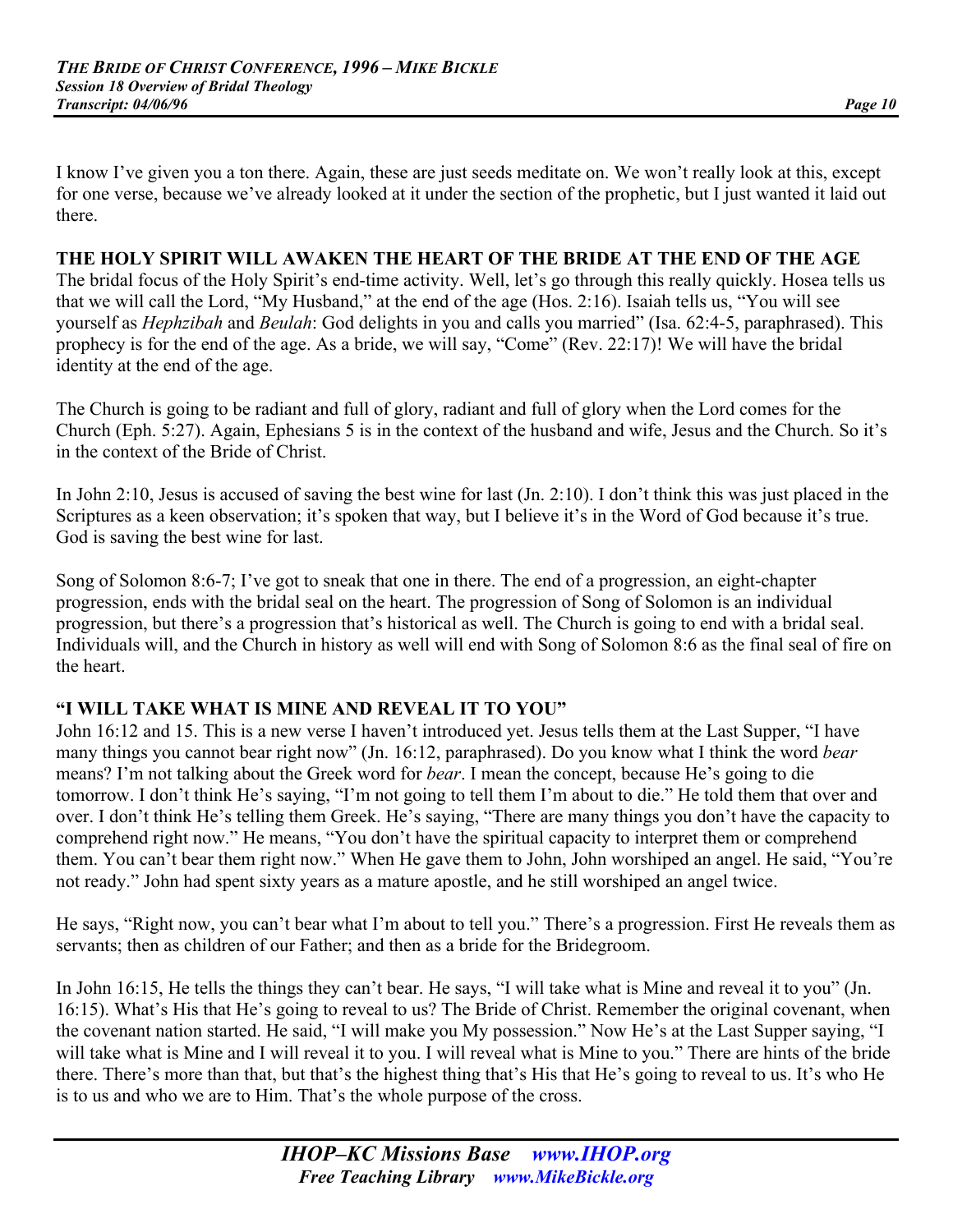I know I've given you a ton there. Again, these are just seeds meditate on. We won't really look at this, except for one verse, because we've already looked at it under the section of the prophetic, but I just wanted it laid out there.

#### **THE HOLY SPIRIT WILL AWAKEN THE HEART OF THE BRIDE AT THE END OF THE AGE**

The bridal focus of the Holy Spirit's end-time activity. Well, let's go through this really quickly. Hosea tells us that we will call the Lord, "My Husband," at the end of the age (Hos. 2:16). Isaiah tells us, "You will see yourself as *Hephzibah* and *Beulah*: God delights in you and calls you married" (Isa. 62:4-5, paraphrased). This prophecy is for the end of the age. As a bride, we will say, "Come" (Rev. 22:17)! We will have the bridal identity at the end of the age.

The Church is going to be radiant and full of glory, radiant and full of glory when the Lord comes for the Church (Eph. 5:27). Again, Ephesians 5 is in the context of the husband and wife, Jesus and the Church. So it's in the context of the Bride of Christ.

In John 2:10, Jesus is accused of saving the best wine for last (Jn. 2:10). I don't think this was just placed in the Scriptures as a keen observation; it's spoken that way, but I believe it's in the Word of God because it's true. God is saving the best wine for last.

Song of Solomon 8:6-7; I've got to sneak that one in there. The end of a progression, an eight-chapter progression, ends with the bridal seal on the heart. The progression of Song of Solomon is an individual progression, but there's a progression that's historical as well. The Church is going to end with a bridal seal. Individuals will, and the Church in history as well will end with Song of Solomon 8:6 as the final seal of fire on the heart.

#### **"I WILL TAKE WHAT IS MINE AND REVEAL IT TO YOU"**

John 16:12 and 15. This is a new verse I haven't introduced yet. Jesus tells them at the Last Supper, "I have many things you cannot bear right now" (Jn. 16:12, paraphrased). Do you know what I think the word *bear* means? I'm not talking about the Greek word for *bear*. I mean the concept, because He's going to die tomorrow. I don't think He's saying, "I'm not going to tell them I'm about to die." He told them that over and over. I don't think He's telling them Greek. He's saying, "There are many things you don't have the capacity to comprehend right now." He means, "You don't have the spiritual capacity to interpret them or comprehend them. You can't bear them right now." When He gave them to John, John worshiped an angel. He said, "You're not ready." John had spent sixty years as a mature apostle, and he still worshiped an angel twice.

He says, "Right now, you can't bear what I'm about to tell you." There's a progression. First He reveals them as servants; then as children of our Father; and then as a bride for the Bridegroom.

In John 16:15, He tells the things they can't bear. He says, "I will take what is Mine and reveal it to you" (Jn. 16:15). What's His that He's going to reveal to us? The Bride of Christ. Remember the original covenant, when the covenant nation started. He said, "I will make you My possession." Now He's at the Last Supper saying, "I will take what is Mine and I will reveal it to you. I will reveal what is Mine to you." There are hints of the bride there. There's more than that, but that's the highest thing that's His that He's going to reveal to us. It's who He is to us and who we are to Him. That's the whole purpose of the cross.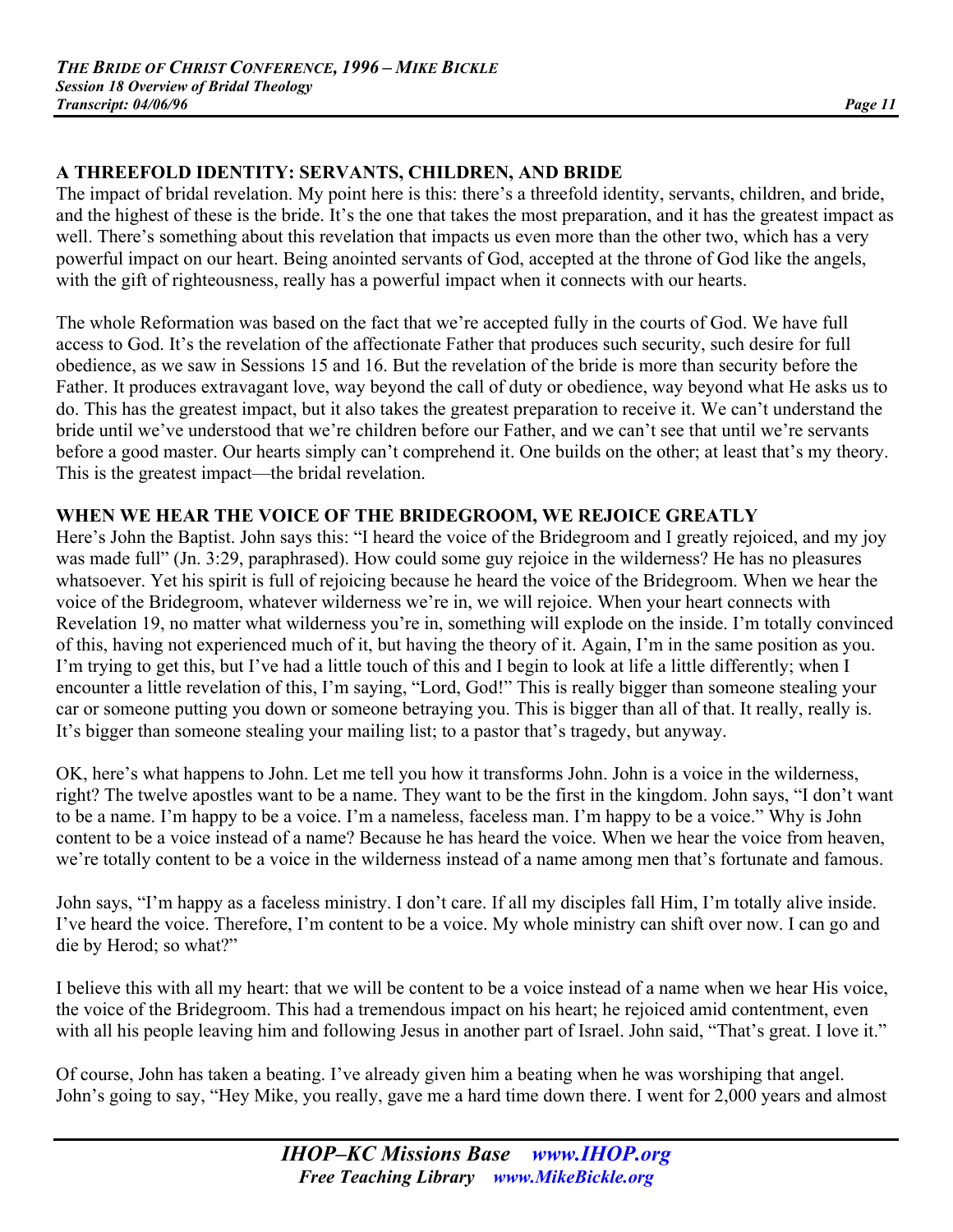# **A THREEFOLD IDENTITY: SERVANTS, CHILDREN, AND BRIDE**

The impact of bridal revelation. My point here is this: there's a threefold identity, servants, children, and bride, and the highest of these is the bride. It's the one that takes the most preparation, and it has the greatest impact as well. There's something about this revelation that impacts us even more than the other two, which has a very powerful impact on our heart. Being anointed servants of God, accepted at the throne of God like the angels, with the gift of righteousness, really has a powerful impact when it connects with our hearts.

The whole Reformation was based on the fact that we're accepted fully in the courts of God. We have full access to God. It's the revelation of the affectionate Father that produces such security, such desire for full obedience, as we saw in Sessions 15 and 16. But the revelation of the bride is more than security before the Father. It produces extravagant love, way beyond the call of duty or obedience, way beyond what He asks us to do. This has the greatest impact, but it also takes the greatest preparation to receive it. We can't understand the bride until we've understood that we're children before our Father, and we can't see that until we're servants before a good master. Our hearts simply can't comprehend it. One builds on the other; at least that's my theory. This is the greatest impact—the bridal revelation.

# **WHEN WE HEAR THE VOICE OF THE BRIDEGROOM, WE REJOICE GREATLY**

Here's John the Baptist. John says this: "I heard the voice of the Bridegroom and I greatly rejoiced, and my joy was made full" (Jn. 3:29, paraphrased). How could some guy rejoice in the wilderness? He has no pleasures whatsoever. Yet his spirit is full of rejoicing because he heard the voice of the Bridegroom. When we hear the voice of the Bridegroom, whatever wilderness we're in, we will rejoice. When your heart connects with Revelation 19, no matter what wilderness you're in, something will explode on the inside. I'm totally convinced of this, having not experienced much of it, but having the theory of it. Again, I'm in the same position as you. I'm trying to get this, but I've had a little touch of this and I begin to look at life a little differently; when I encounter a little revelation of this, I'm saying, "Lord, God!" This is really bigger than someone stealing your car or someone putting you down or someone betraying you. This is bigger than all of that. It really, really is. It's bigger than someone stealing your mailing list; to a pastor that's tragedy, but anyway.

OK, here's what happens to John. Let me tell you how it transforms John. John is a voice in the wilderness, right? The twelve apostles want to be a name. They want to be the first in the kingdom. John says, "I don't want to be a name. I'm happy to be a voice. I'm a nameless, faceless man. I'm happy to be a voice." Why is John content to be a voice instead of a name? Because he has heard the voice. When we hear the voice from heaven, we're totally content to be a voice in the wilderness instead of a name among men that's fortunate and famous.

John says, "I'm happy as a faceless ministry. I don't care. If all my disciples fall Him, I'm totally alive inside. I've heard the voice. Therefore, I'm content to be a voice. My whole ministry can shift over now. I can go and die by Herod; so what?"

I believe this with all my heart: that we will be content to be a voice instead of a name when we hear His voice, the voice of the Bridegroom. This had a tremendous impact on his heart; he rejoiced amid contentment, even with all his people leaving him and following Jesus in another part of Israel. John said, "That's great. I love it."

Of course, John has taken a beating. I've already given him a beating when he was worshiping that angel. John's going to say, "Hey Mike, you really, gave me a hard time down there. I went for 2,000 years and almost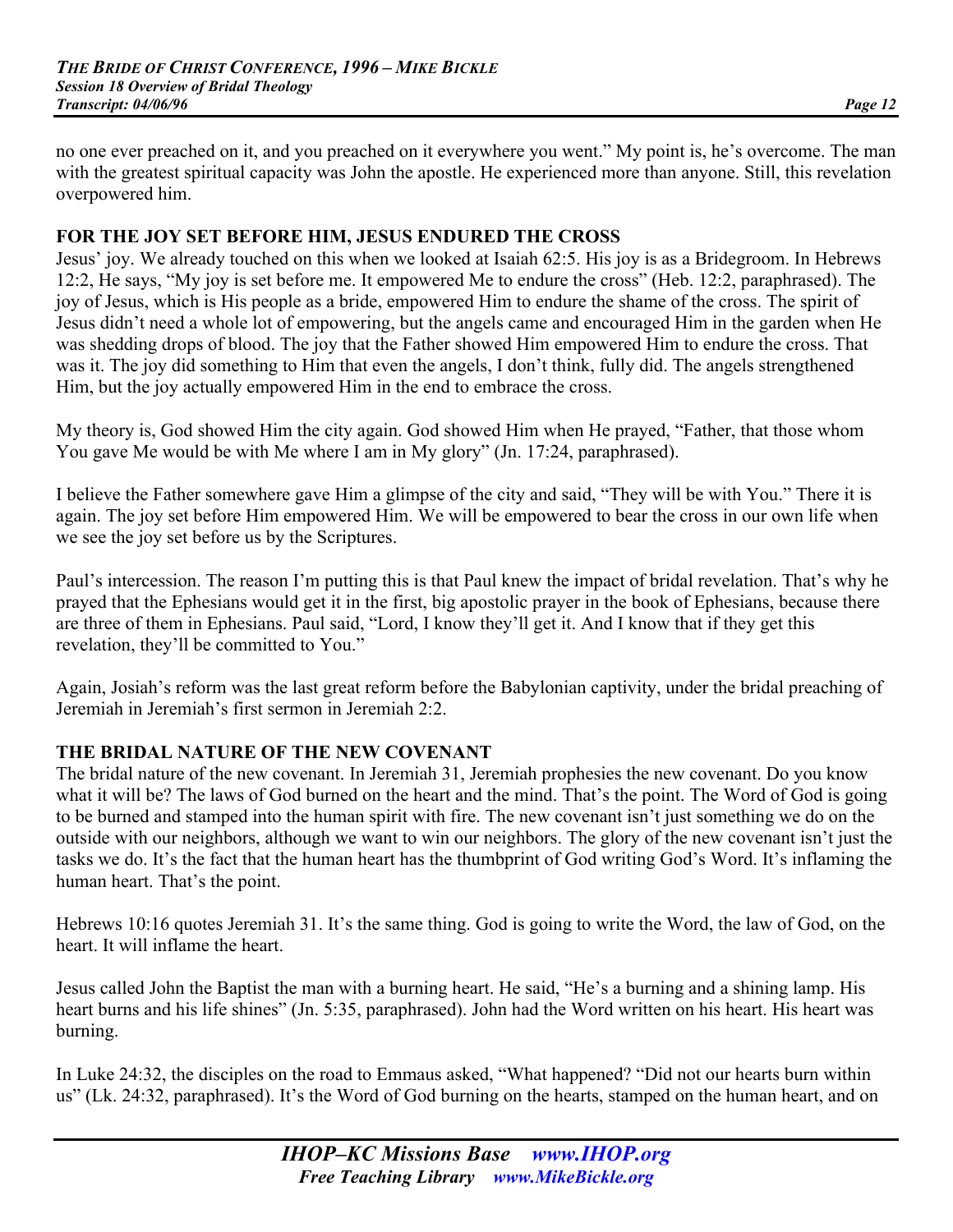no one ever preached on it, and you preached on it everywhere you went." My point is, he's overcome. The man with the greatest spiritual capacity was John the apostle. He experienced more than anyone. Still, this revelation overpowered him.

#### **FOR THE JOY SET BEFORE HIM, JESUS ENDURED THE CROSS**

Jesus' joy. We already touched on this when we looked at Isaiah 62:5. His joy is as a Bridegroom. In Hebrews 12:2, He says, "My joy is set before me. It empowered Me to endure the cross" (Heb. 12:2, paraphrased). The joy of Jesus, which is His people as a bride, empowered Him to endure the shame of the cross. The spirit of Jesus didn't need a whole lot of empowering, but the angels came and encouraged Him in the garden when He was shedding drops of blood. The joy that the Father showed Him empowered Him to endure the cross. That was it. The joy did something to Him that even the angels, I don't think, fully did. The angels strengthened Him, but the joy actually empowered Him in the end to embrace the cross.

My theory is, God showed Him the city again. God showed Him when He prayed, "Father, that those whom You gave Me would be with Me where I am in My glory" (Jn. 17:24, paraphrased).

I believe the Father somewhere gave Him a glimpse of the city and said, "They will be with You." There it is again. The joy set before Him empowered Him. We will be empowered to bear the cross in our own life when we see the joy set before us by the Scriptures.

Paul's intercession. The reason I'm putting this is that Paul knew the impact of bridal revelation. That's why he prayed that the Ephesians would get it in the first, big apostolic prayer in the book of Ephesians, because there are three of them in Ephesians. Paul said, "Lord, I know they'll get it. And I know that if they get this revelation, they'll be committed to You."

Again, Josiah's reform was the last great reform before the Babylonian captivity, under the bridal preaching of Jeremiah in Jeremiah's first sermon in Jeremiah 2:2.

# **THE BRIDAL NATURE OF THE NEW COVENANT**

The bridal nature of the new covenant. In Jeremiah 31, Jeremiah prophesies the new covenant. Do you know what it will be? The laws of God burned on the heart and the mind. That's the point. The Word of God is going to be burned and stamped into the human spirit with fire. The new covenant isn't just something we do on the outside with our neighbors, although we want to win our neighbors. The glory of the new covenant isn't just the tasks we do. It's the fact that the human heart has the thumbprint of God writing God's Word. It's inflaming the human heart. That's the point.

Hebrews 10:16 quotes Jeremiah 31. It's the same thing. God is going to write the Word, the law of God, on the heart. It will inflame the heart.

Jesus called John the Baptist the man with a burning heart. He said, "He's a burning and a shining lamp. His heart burns and his life shines" (Jn. 5:35, paraphrased). John had the Word written on his heart. His heart was burning.

In Luke 24:32, the disciples on the road to Emmaus asked, "What happened? "Did not our hearts burn within us" (Lk. 24:32, paraphrased). It's the Word of God burning on the hearts, stamped on the human heart, and on